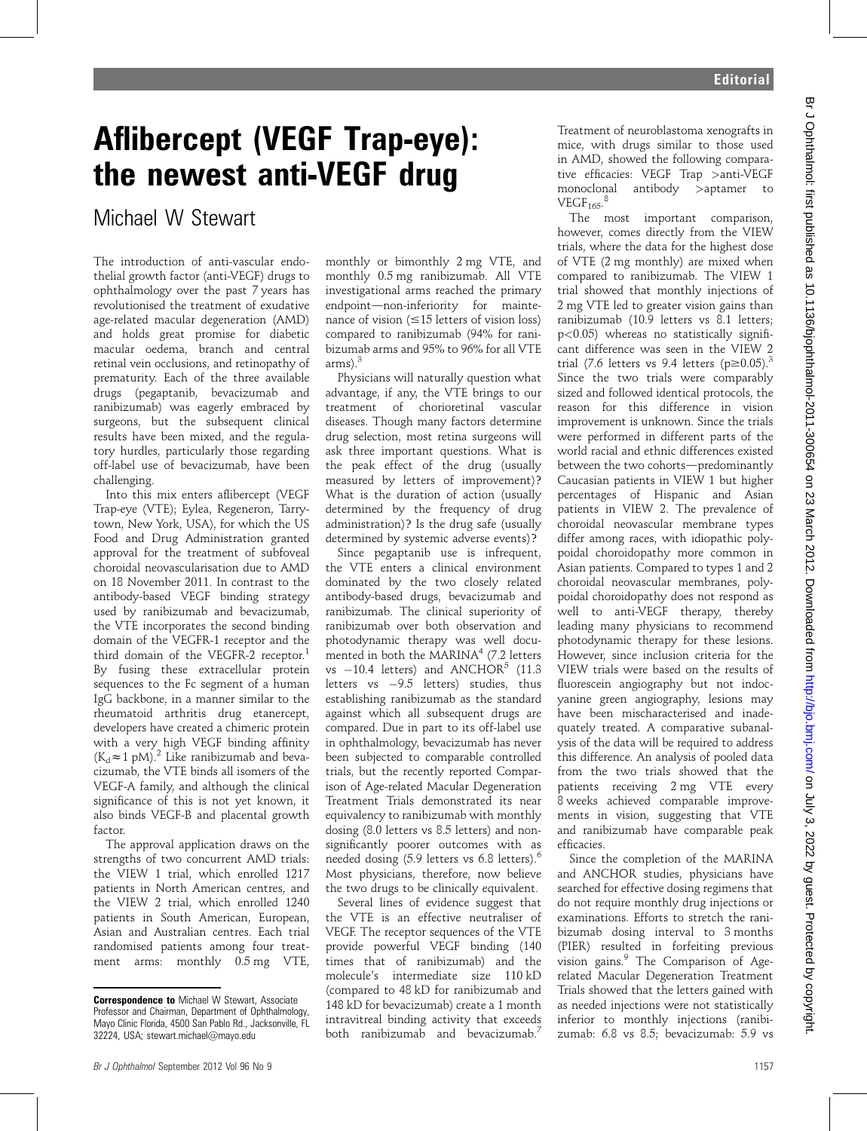## Aflibercept (VEGF Trap-eye): the newest anti-VEGF drug

Michael W Stewart

The introduction of anti-vascular endothelial growth factor (anti-VEGF) drugs to ophthalmology over the past 7 years has revolutionised the treatment of exudative age-related macular degeneration (AMD) and holds great promise for diabetic macular oedema, branch and central retinal vein occlusions, and retinopathy of prematurity. Each of the three available drugs (pegaptanib, bevacizumab and ranibizumab) was eagerly embraced by surgeons, but the subsequent clinical results have been mixed, and the regulatory hurdles, particularly those regarding off-label use of bevacizumab, have been challenging.

Into this mix enters aflibercept (VEGF Trap-eye (VTE); Eylea, Regeneron, Tarrytown, New York, USA), for which the US Food and Drug Administration granted approval for the treatment of subfoveal choroidal neovascularisation due to AMD on 18 November 2011. In contrast to the antibody-based VEGF binding strategy used by ranibizumab and bevacizumab, the VTE incorporates the second binding domain of the VEGFR-1 receptor and the third domain of the VEGFR-2 receptor.<sup>1</sup> By fusing these extracellular protein sequences to the Fc segment of a human IgG backbone, in a manner similar to the rheumatoid arthritis drug etanercept, developers have created a chimeric protein with a very high VEGF binding affinity  $(K_d \approx 1 \text{ pM})^2$  Like ranibizumab and bevacizumab, the VTE binds all isomers of the VEGF-A family, and although the clinical significance of this is not yet known, it also binds VEGF-B and placental growth factor.

The approval application draws on the strengths of two concurrent AMD trials: the VIEW 1 trial, which enrolled 1217 patients in North American centres, and the VIEW 2 trial, which enrolled 1240 patients in South American, European, Asian and Australian centres. Each trial randomised patients among four treatment arms: monthly 0.5 mg VTE,

monthly or bimonthly 2 mg VTE, and monthly 0.5 mg ranibizumab. All VTE investigational arms reached the primary endpoint-non-inferiority for maintenance of vision  $(\leq 15$  letters of vision loss) compared to ranibizumab (94% for ranibizumab arms and 95% to 96% for all VTE  $arms$ ).<sup>3</sup>

Physicians will naturally question what advantage, if any, the VTE brings to our treatment of chorioretinal vascular diseases. Though many factors determine drug selection, most retina surgeons will ask three important questions. What is the peak effect of the drug (usually measured by letters of improvement)? What is the duration of action (usually determined by the frequency of drug administration)? Is the drug safe (usually determined by systemic adverse events)?

Since pegaptanib use is infrequent, the VTE enters a clinical environment dominated by the two closely related antibody-based drugs, bevacizumab and ranibizumab. The clinical superiority of ranibizumab over both observation and photodynamic therapy was well documented in both the MARINA<sup>4</sup> (7.2 letters vs  $-10.4$  letters) and ANCHOR<sup>5</sup> (11.3) letters vs  $-9.5$  letters) studies, thus establishing ranibizumab as the standard against which all subsequent drugs are compared. Due in part to its off-label use in ophthalmology, bevacizumab has never been subjected to comparable controlled trials, but the recently reported Comparison of Age-related Macular Degeneration Treatment Trials demonstrated its near equivalency to ranibizumab with monthly dosing (8.0 letters vs 8.5 letters) and nonsignificantly poorer outcomes with as needed dosing (5.9 letters vs 6.8 letters).<sup>6</sup> Most physicians, therefore, now believe the two drugs to be clinically equivalent.

Several lines of evidence suggest that the VTE is an effective neutraliser of VEGF. The receptor sequences of the VTE provide powerful VEGF binding (140 times that of ranibizumab) and the molecule's intermediate size 110 kD (compared to 48 kD for ranibizumab and 148 kD for bevacizumab) create a 1 month intravitreal binding activity that exceeds both ranibizumab and bevacizumab.<sup>7</sup>

Treatment of neuroblastoma xenografts in mice, with drugs similar to those used in AMD, showed the following comparative efficacies: VEGF Trap >anti-VEGF monoclonal antibody >aptamer to  $VEGF<sub>165</sub>$ .<sup>8</sup>

The most important comparison, however, comes directly from the VIEW trials, where the data for the highest dose of VTE (2 mg monthly) are mixed when compared to ranibizumab. The VIEW 1 trial showed that monthly injections of 2 mg VTE led to greater vision gains than ranibizumab (10.9 letters vs 8.1 letters; p<0.05) whereas no statistically significant difference was seen in the VIEW 2 trial (7.6 letters vs 9.4 letters ( $p \ge 0.05$ )<sup>3</sup> Since the two trials were comparably sized and followed identical protocols, the reason for this difference in vision improvement is unknown. Since the trials were performed in different parts of the world racial and ethnic differences existed between the two cohorts-predominantly Caucasian patients in VIEW 1 but higher percentages of Hispanic and Asian patients in VIEW 2. The prevalence of choroidal neovascular membrane types differ among races, with idiopathic polypoidal choroidopathy more common in Asian patients. Compared to types 1 and 2 choroidal neovascular membranes, polypoidal choroidopathy does not respond as well to anti-VEGF therapy, thereby leading many physicians to recommend photodynamic therapy for these lesions. However, since inclusion criteria for the VIEW trials were based on the results of fluorescein angiography but not indocyanine green angiography, lesions may have been mischaracterised and inadequately treated. A comparative subanalysis of the data will be required to address this difference. An analysis of pooled data from the two trials showed that the patients receiving 2 mg VTE every 8 weeks achieved comparable improvements in vision, suggesting that VTE and ranibizumab have comparable peak efficacies.

Since the completion of the MARINA and ANCHOR studies, physicians have searched for effective dosing regimens that do not require monthly drug injections or examinations. Efforts to stretch the ranibizumab dosing interval to 3 months (PIER) resulted in forfeiting previous vision gains.<sup>9</sup> The Comparison of Agerelated Macular Degeneration Treatment Trials showed that the letters gained with as needed injections were not statistically inferior to monthly injections (ranibizumab: 6.8 vs 8.5; bevacizumab: 5.9 vs

Correspondence to Michael W Stewart, Associate Professor and Chairman, Department of Ophthalmology, Mayo Clinic Florida, 4500 San Pablo Rd., Jacksonville, FL 32224, USA; stewart.michael@mayo.edu